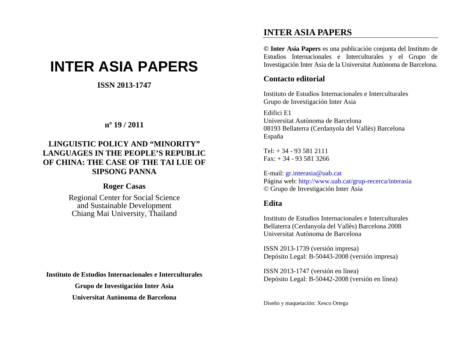# **INTER ASIA PAPERS**

# **ISSN 2013-1747**

# **<sup>n</sup>º 19 / 2011**

# **LINGUISTIC POLICY AND "MINORITY" LANGUAGES IN THE PEOPLE'S REPUBLIC OF CHINA: THE CASE OF THE TAI LUE OF SIPSONG PANNA**

#### **Roger Casas**

Regional Center for Social Science and Sustainable Development Chiang Mai University, Thailand

**Instituto de Estudios Internacionales e Interculturales** 

**Grupo de Investigación Inter Asia Universitat Autònoma de Barcelona**

# **INTER ASIA PAPERS**

**© Inter Asia Papers** es una publicación conjunta del Instituto de Estudios Internacionales e Interculturales y el Grupo de Investigación Inter Asia de la Universitat Autònoma de Barcelona.

# **Contacto editorial**

Instituto de Estudios Internacionales e Interculturales Grupo de Investigación Inter Asia

Edifici E1

Universitat Autònoma de Barcelona 08193 Bellaterra (Cerdanyola del Vallès) Barcelona España

 $Tel: + 34 - 935812111$ Fax: + 34 - 93 581 3266

E-mail: gr.interasia@uab.cat Página web: http://www.uab.cat/grup-recerca/interasia © Grupo de Investigación Inter Asia

# **Edita**

Instituto de Estudios Internacionales e Interculturales Bellaterra (Cerdanyola del Vallès) Barcelona 2008 Universitat Autònoma de Barcelona

ISSN 2013-1739 (versión impresa) Depósito Legal: B-50443-2008 (versión impresa)

ISSN 2013-1747 (versión en línea) Depósito Legal: B-50442-2008 (versión en línea)

Diseño y maquetación: Xesco Ortega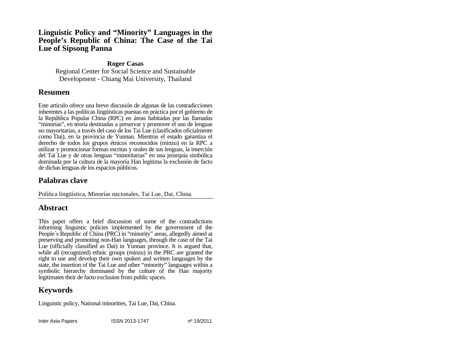#### **Linguistic Policy and "Minority" Languages in the People's Republic of China: The Case of the Tai Lue of Sipsong Panna**

#### **Roger Casas**

Regional Center for Social Science and Sustainable Development - Chiang Mai University, Thailand

# **Resumen**

Este artículo ofrece una breve discusión de algunas de las contradicciones inherentes a las políticas lingüísticas puestas en práctica por el gobierno de la República Popular China (RPC) en áreas habitadas por las llamadas "minorías", en teoría destinadas a preservar y promover el uso de lenguas no mayoritarias, a través del caso de los Tai Lue (clasificados oficialmente como Dai), en la provincia de Yunnan. Mientras el estado garantiza el derecho de todos los grupos étnicos reconocidos (minzu) en la RPC a utilizar y promocionar formas escritas y orales de sus lenguas, la inserción del Tai Lue y de otras lenguas "minoritarias" en una jerarquía simbólica dominada por la cultura de la mayoría Han legitima la exclusión de facto de dichas lenguas de los espacios públicos.

# **Palabras clave**

Política lingüística, Minorías nacionales, Tai Lue, Dai, China.

# **Abstract**

This paper offers a brief discussion of some of the contradictions informing linguistic policies implemented by the government of the People's Republic of China (PRC) in "minority" areas, allegedly aimed at preserving and promoting non-Han languages, through the case of the Tai Lue (officially classified as Dai) in Yunnan province. It is argued that, while all (recognized) ethnic groups (minzu) in the PRC are granted the right to use and develop their own spoken and written languages by the state, the insertion of the Tai Lue and other "minority" languages within a symbolic hierarchy dominated by the culture of the Han majority legitimates their de facto exclusion from public spaces.

# **Keywords**

Linguistic policy, National minorities, Tai Lue, Dai, China.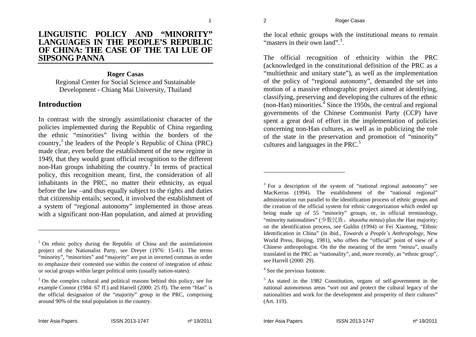#### **LINGUISTIC POLICY AND "MINORITY" LANGUAGES IN THE PEOPLE'S REPUBLIC OF CHINA: THE CASE OF THE TAI LUE OF SIPSONG PANNA**

#### **Roger Casas**

Regional Center for Social Science and Sustainable Development - Chiang Mai University, Thailand

### **Introduction**

In contrast with the strongly assimilationist character of the policies implemented during the Republic of China regarding the ethnic "minorities" living within the borders of the country,<sup>1</sup> the leaders of the People's Republic of China (PRC) made clear, even before the establishment of the new regime in 1949, that they would grant official recognition to the different non-Han groups inhabiting the country.<sup>2</sup> In terms of practical policy, this recognition meant, first, the consideration of all inhabitants in the PRC, no matter their ethnicity, as equal before the law –and thus equally subject to the rights and duties that citizenship entails; second, it involved the establishment of a system of "regional autonomy" implemented in those areas with a significant non-Han population, and aimed at providing

the local ethnic groups with the institutional means to remain "masters in their own land".<sup>3</sup>

The official recognition of ethnicity within the PRC (acknowledged in the constitutional definition of the PRC as a "multiethnic and unitary state"), as well as the implementation of the policy of "regional autonomy", demanded the set into motion of a massive ethnographic project aimed at identifying, classifying, preserving and developing the cultures of the ethnic  $(non-Han)$  minorities.<sup>4</sup> Since the 1950s, the central and regional governments of the Chinese Communist Party (CCP) have spent a great deal of effort in the implementation of policies concerning non-Han cultures, as well as in publicizing the role of the state in the preservation and promotion of "minority" cultures and languages in the PRC.<sup>5</sup>

<sup>4</sup> See the previous footnote.

 $1$  On ethnic policy during the Republic of China and the assimilationist project of the Nationalist Party, see Dreyer (1976: 15-41). The terms "minority", "minorities" and "majority" are put in inverted commas in order to emphasize their contested use within the context of integration of ethnic or social groups within larger political units (usually nation-states).

 $2$ <sup>2</sup> On the complex cultural and political reasons behind this policy, see for example Connor (1984: 67 ff.) and Harrell (2000: 25 ff). The term "Han" is the official designation of the "majority" group in the PRC, comprising around 90% of the total population in the country.

<sup>&</sup>lt;sup>3</sup> For a description of the system of "national regional autonomy" see MacKerras (1994). The establishment of the "national regional" administration run parallel to the identification process of ethnic groups and the creation of the official system for ethnic categorization which ended up being made up of 55 "minority" groups, or, in official terminology, "minority nationalities" (少数民族,*shaoshu minzu*) plus the Han majority; on the identification process, see Guldin (1994) or Fei Xiaotong, "Ethnic Identification in China" (in ibid., *Towards a People´s Anthropology*, New World Press, Beijing, 1981), who offers the "official" point of view of a Chinese anthropologist. On the the meaning of the term "*minzu*", usually translated in the PRC as "nationality", and, more recently, as "ethnic group", see Harrell (2000: 29).

<sup>&</sup>lt;sup>5</sup> As stated in the 1982 Constitution, organs of self-government in the national autonomous areas "sort out and protect the cultural legacy of the nationalities and work for the development and prosperity of their cultures" (Art. 119).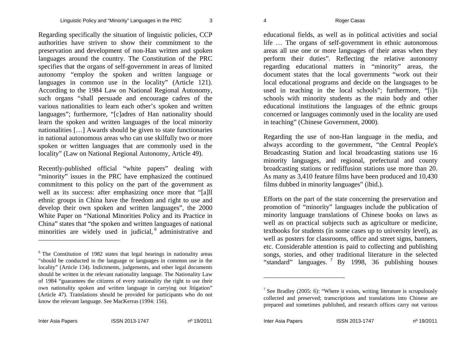Regarding specifically the situation of linguistic policies, CCP authorities have striven to show their commitment to the preservation and development of non-Han written and spoken languages around the country. The Constitution of the PRC specifies that the organs of self-government in areas of limited autonomy "employ the spoken and written language or languages in common use in the locality" (Article 121). According to the 1984 Law on National Regional Autonomy, such organs "shall persuade and encourage cadres of the various nationalities to learn each other's spoken and written languages"; furthermore, "[c]adres of Han nationality should learn the spoken and written languages of the local minority nationalities […] Awards should be given to state functionaries in national autonomous areas who can use skilfully two or more spoken or written languages that are commonly used in the locality" (Law on National Regional Autonomy, Article 49).

Recently-published official "white papers" dealing with "minority" issues in the PRC have emphasized the continued commitment to this policy on the part of the government as well as its success: after emphasizing once more that "[a]ll ethnic groups in China have the freedom and right to use and develop their own spoken and written languages", the 2000 White Paper on "National Minorities Policy and its Practice in China" states that "the spoken and written languages of national minorities are widely used in judicial, <sup>6</sup> administrative and

educational fields, as well as in political activities and social life … The organs of self-government in ethnic autonomous areas all use one or more languages of their areas when they perform their duties". Reflecting the relative autonomy regarding educational matters in "minority" areas, the document states that the local governments "work out their local educational programs and decide on the languages to be used in teaching in the local schools"; furthermore, "[i]n schools with minority students as the main body and other educational institutions the languages of the ethnic groups concerned or languages commonly used in the locality are used in teaching" (Chinese Government, 2000).

Regarding the use of non-Han language in the media, and always according to the government, "the Central People's Broadcasting Station and local broadcasting stations use 16 minority languages, and regional, prefectural and county broadcasting stations or rediffusion stations use more than 20. As many as 3,410 feature films have been produced and 10,430 films dubbed in minority languages" (ibid.).

Efforts on the part of the state concerning the preservation and promotion of "minority" languages include the publication of minority language translations of Chinese books on laws as well as on practical subjects such as agriculture or medicine. textbooks for students (in some cases up to university level), as well as posters for classrooms, office and street signs, banners, etc. Considerable attention is paid to collecting and publishing songs, stories, and other traditional literature in the selected "standard" languages.  $\frac{7}{1}$  By 1998, 36 publishing houses

 $6$  The Constitution of 1982 states that legal hearings in nationality areas "should be conducted in the language or languages in common use in the locality" (Article 134). Indictments, judgements, and other legal documents should be written in the relevant nationality language. The Nationality Law of 1984 "guarantees the citizens of every nationality the right to use their own nationality spoken and written language in carrying out litigation" (Article 47). Translations should be provided for participants who do not know the relevant language. See MacKerras (1994: 156).

<sup>&</sup>lt;sup>7</sup> See Bradley (2005: 6): "Where it exists, writing literature is scrupulously collected and preserved; transcriptions and translations into Chinese are prepared and sometimes published, and research offices carry out various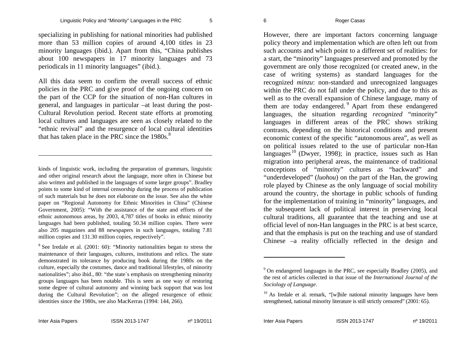specializing in publishing for national minorities had published more than 53 million copies of around 4,100 titles in 23 minority languages (ibid.). Apart from this, "China publishes about 100 newspapers in 17 minority languages and 73 periodicals in 11 minority languages" (ibid.).

All this data seem to confirm the overall success of ethnic policies in the PRC and give proof of the ongoing concern on the part of the CCP for the situation of non-Han cultures in general, and languages in particular –at least during the post-Cultural Revolution period. Recent state efforts at promoting local cultures and languages are seen as closely related to the "ethnic revival" and the resurgence of local cultural identities that has taken place in the PRC since the  $1980s$ .<sup>8</sup>

kinds of linguistic work, including the preparation of grammars, linguistic and other original research about the language, more often in Chinese but also written and published in the languages of some larger groups". Bradley points to some kind of internal censorship during the process of publication of such materials but he does not elaborate on the issue. See also the white paper on "Regional Autonomy for Ethnic Minorities in China" (Chinese Government, 2005): "With the assistance of the state and efforts of the ethnic autonomous areas, by 2003, 4,787 titles of books in ethnic minority languages had been published, totaling 50.34 million copies. There were also 205 magazines and 88 newspapers in such languages, totaling 7.81 million copies and 131.30 million copies, respectively".

8 See Iredale et al. (2001: 60): "Minority nationalities began to stress the maintenance of their languages, cultures, institutions and relics. The state demonstrated its tolerance by producing book during the 1980s on the culture, especially the costumes, dance and traditional lifestyles, of minority nationalities"; also ibid., 80: "the state´s emphasis on strengthening minority groups languages has been notable. This is seen as one way of restoring some degree of cultural autonomy and winning back support that was lost during the Cultural Revolution"; on the alleged resurgence of ethnic identities since the 1980s, see also MacKerras (1994: 144, 266).

However, there are important factors concerning language policy theory and implementation which are often left out from such accounts and which point to a different set of realities: for a start, the "minority" languages preserved and promoted by the government are only those recognized (or created anew, in the case of writing systems) as standard languages for the recognized *minzu*: non-standard and unrecognized languages within the PRC do not fall under the policy, and due to this as well as to the overall expansion of Chinese language, many of them are today endangered.<sup>9</sup> Apart from these endangered languages, the situation regarding *recognized* "minority" languages in different areas of the PRC shows striking contrasts, depending on the historical conditions and present economic context of the specific "autonomous area", as well as on political issues related to the use of particular non-Han languages  $10$  (Dwyer, 1998); in practice, issues such as Han migration into peripheral areas, the maintenance of traditional conceptions of "minority" cultures as "backward" and "underdeveloped" (*luohou*) on the part of the Han, the growing role played by Chinese as the only language of social mobility around the country, the shortage in public schools of funding for the implementation of training in "minority" languages, and the subsequent lack of political interest in preserving local cultural traditions, all guarantee that the teaching and use at official level of non-Han languages in the PRC is at best scarce, and that the emphasis is put on the teaching and use of standard Chinese –a reality officially reflected in the design and

<sup>9</sup> On endangered languages in the PRC, see especially Bradley (2005), and the rest of articles collected in that issue of the *International Journal of the Sociology of Language*.

 $10$  As Iredale et al. remark, "[w]hile national minority languages have been strengthened, national minority literature is still strictly censored" (2001: 65).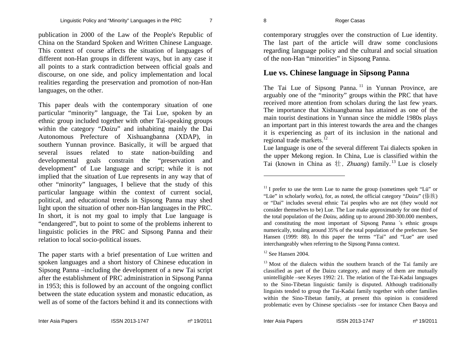publication in 2000 of the Law of the People's Republic of China on the Standard Spoken and Written Chinese Language. This context of course affects the situation of languages of different non-Han groups in different ways, but in any case it all points to a stark contradiction between official goals and discourse, on one side, and policy implementation and local realities regarding the preservation and promotion of non-Han languages, on the other.

This paper deals with the contemporary situation of one particular "minority" language, the Tai Lue, spoken by an ethnic group included together with other Tai-speaking groups within the category "*Daizu*" and inhabiting mainly the Dai Autonomous Prefecture of Xishuangbanna (XDAP), in southern Yunnan province. Basically, it will be argued that several issues related to state nation-building and developmental goals constrain the "preservation and development" of Lue language and script; while it is not implied that the situation of Lue represents in any way that of other "minority" languages, I believe that the study of this particular language within the context of current social, political, and educational trends in Sipsong Panna may shed light upon the situation of other non-Han languages in the PRC. In short, it is not my goal to imply that Lue language is "endangered", but to point to some of the problems inherent to linguistic policies in the PRC and Sipsong Panna and their relation to local socio-political issues.

contemporary struggles over the construction of Lue identity. The last part of the article will draw some conclusions regarding language policy and the cultural and social situation of the non-Han "minorities" in Sipsong Panna.

### **Lue vs. Chinese language in Sipsong Panna**

The Tai Lue of Sipsong Panna.<sup>11</sup> in Yunnan Province, are arguably one of the "minority" groups within the PRC that have received more attention from scholars during the last few years. The importance that Xishuangbanna has attained as one of the main tourist destinations in Yunnan since the middle 1980s plays an important part in this interest towards the area and the changes it is experiencing as part of its inclusion in the national and regional trade markets. $^{12}$ 

Lue language is one of the several different Tai dialects spoken in the upper Mekong region. In China, Lue is classified within the Tai (known in China as  $#$ , *Zhuang*) family.<sup>13</sup> Lue is closely

 $12$  See Hansen 2004.

The paper starts with a brief presentation of Lue written and spoken languages and a short history of Chinese education in Sipsong Panna –including the development of a new Tai script after the establishment of PRC administration in Sipsong Panna in 1953; this is followed by an account of the ongoing conflict between the state education system and monastic education, as well as of some of the factors behind it and its connections with

 $11$  I prefer to use the term Lue to name the group (sometimes spelt "Lü" or "Lüe" in scholarly works), for, as noted, the official category "*Daizu*" (傣族) or "Dai" includes several ethnic Tai peoples who are not (they would *not*  consider themselves to be) Lue. The Lue make approximately for one third of the total population of the *Daizu*, adding up to around 280-300.000 members, and constituting the most important of Sipsong Panna ´s ethnic groups numerically, totaling around 35% of the total population of the prefecture. See Hansen (1999: 88). In this paper the terms "Tai" and "Lue" are used interchangeably when referring to the Sipsong Panna context.

 $13$  Most of the dialects within the southern branch of the Tai family are classified as part of the Daizu category, and many of them are mutually unintelligible –see Keyes 1992: 21. The relation of the Tai-Kadai languages to the Sino-Tibetan linguistic family is disputed. Although traditionally linguists tended to group the Tai-Kadai family together with other families within the Sino-Tibetan family, at present this opinion is considered problematic even by Chinese specialists –see for instance Chen Baoya and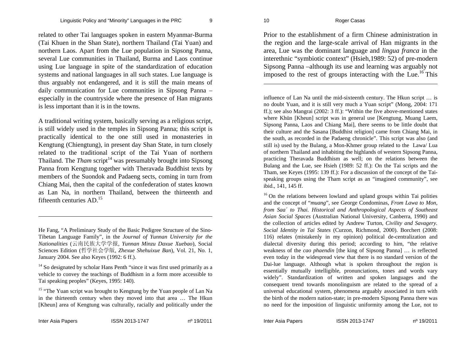related to other Tai languages spoken in eastern Myanmar-Burma (Tai Khuen in the Shan State), northern Thailand (Tai Yuan) and northern Laos. Apart from the Lue population in Sipsong Panna, several Lue communities in Thailand, Burma and Laos continue using Lue language in spite of the standardization of education systems and national languages in all such states. Lue language is thus arguably not endangered, and it is still the main means of daily communication for Lue communities in Sipsong Panna – especially in the countryside where the presence of Han migrants is less important than it is in the towns.

A traditional writing system, basically serving as a religious script, is still widely used in the temples in Sipsong Panna; this script is practically identical to the one still used in monasteries in Kengtung (Chiengtung), in present day Shan State, in turn closely related to the traditional script of the Tai Yuan of northern Thailand. The *Tham* script<sup>14</sup> was presumably brought into Sipsong Panna from Kengtung together with Theravada Buddhist texts by members of the Suondok and Padaeng sects, coming in turn from Chiang Mai, then the capital of the confederation of states known as Lan Na, in northern Thailand, between the thirteenth and fifteenth centuries  $AD<sup>15</sup>$ 

Prior to the establishment of a firm Chinese administration in the region and the large-scale arrival of Han migrants in the area, Lue was the dominant language and *lingua franca* in the interethnic "symbiotic context" (Hsieh,1989: 52) of pre-modern Sipsong Panna –although its use and learning was arguably not imposed to the rest of groups interacting with the Lue.<sup>16</sup> This

influence of Lan Na until the mid-sixteenth century. The Hkun script … is no doubt Yuan, and it is still very much a Yuan script" (Mong, 2004: 171 ff.); see also Mangrai (2002: 3 ff.): "Within the five above-mentioned states where Khün [Kheun] script was in general use [Kengtung, Muang Laem, Sipsong Panna, Laos and Chiang Mai], there seems to be little doubt that their culture and the Sasana [Buddhist religion] came from Chiang Mai, in the south, as recorded in the Padaeng chronicle". This script was also (and still is) used by the Bulang, a Mon-Khmer group related to the Lawa/ Lua of northern Thailand and inhabiting the highlands of western Sipsong Panna, practicing Theravada Buddhism as well; on the relations between the Bulang and the Lue, see Hsieh (1989: 52 ff.): On the Tai scripts and the Tham, see Keyes (1995: 139 ff.): For a discussion of the concept of the Taispeaking groups using the Tham script as an "imagined community", see ibid., 141, 145 ff.

 $16$  On the relations between lowland and upland groups within Tai polities and the concept of "*muang*", see George Condominas, *From Lawa to Mon, from Saa´ to Thai. Historical and Anthropological Aspects of Southeast Asian Social Spaces* (Australian National University, Canberra, 1990) and the collection of articles edited by Andrew Turton, *Civility and Savagery. Social Identity in Tai States* (Curzon, Richmond, 2000). Borchert (2008: 116) relates (mistakenly in my opinion) political de-centralization and dialectal diversity during this period; according to him, "the relative weakness of the *cao phaendin* [the king of Sipsong Panna] … is reflected even today in the widespread view that there is no standard version of the Dai-lue language. Although what is spoken throughout the region is essentially mutually intelligible, pronunciations, tones and words vary widely". Standardization of written and spoken languages and the consequent trend towards monolinguism are related to the spread of a universal educational system, phenomena arguably associated in turn with the birth of the modern nation-state; in pre-modern Sipsong Panna there was no need for the imposition of linguistic uniformity among the Lue, not to

He Fang, "A Preliminary Study of the Basic Pedigree Structure of the Sino-Tibetan Language Family", in the *Journal of Yunnan University for the Nationalities* (云南民族大学学报, *Yunnan Minzu Daxue Xuebao*), Social Sciences Edition (哲学社会学版, *Zhexue Shehuixue Ban*), Vol. 21, No. 1, January 2004. See also Keyes (1992: 6 ff.).

<sup>&</sup>lt;sup>14</sup> So designated by scholar Hans Penth "since it was first used primarily as a vehicle to convey the teachings of Buddhism in a form more accessible to Tai speaking peoples" (Keyes, 1995: 140).

<sup>&</sup>lt;sup>15</sup> "The Yuan script was brought to Kengtung by the Yuan people of Lan Na in the thirteenth century when they moved into that area … The Hkun [Kheun] area of Kengtung was culturally, racially and politically under the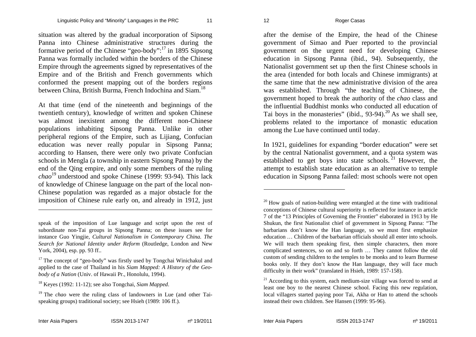situation was altered by the gradual incorporation of Sipsong Panna into Chinese administrative structures during the formative period of the Chinese "geo-body": $^{17}$  in 1895 Sipsong Panna was formally included within the borders of the Chinese Empire through the agreements signed by representatives of the Empire and of the British and French governments which conformed the present mapping out of the borders regions between China, British Burma, French Indochina and Siam.<sup>18</sup>

At that time (end of the nineteenth and beginnings of the twentieth century), knowledge of written and spoken Chinese was almost inexistent among the different non-Chinese populations inhabiting Sipsong Panna. Unlike in other peripheral regions of the Empire, such as Lijiang, Confucian education was never really popular in Sipsong Panna; according to Hansen, there were only two private Confucian schools in Mengla (a township in eastern Sipsong Panna) by the end of the Qing empire, and only some members of the ruling *chao*19 understood and spoke Chinese (1999: 93-94). This lack of knowledge of Chinese language on the part of the local non-Chinese population was regarded as a major obstacle for the imposition of Chinese rule early on, and already in 1912, just

after the demise of the Empire, the head of the Chinese government of Simao and Puer reported to the provincial government on the urgent need for developing Chinese education in Sipsong Panna (ibid., 94). Subsequently, the Nationalist government set up then the first Chinese schools in the area (intended for both locals and Chinese immigrants) at the same time that the new administrative division of the area was established. Through "the teaching of Chinese, the government hoped to break the authority of the *chao* class and the influential Buddhist monks who conducted all education of Tai boys in the monasteries" (ibid.,  $93-94$ ).<sup>20</sup> As we shall see, problems related to the importance of monastic education among the Lue have continued until today.

In 1921, guidelines for expanding "border education" were set by the central Nationalist government, and a quota system was established to get boys into state schools.<sup>21</sup> However, the attempt to establish state education as an alternative to temple education in Sipsong Panna failed: most schools were not open

speak of the imposition of Lue language and script upon the rest of subordinate non-Tai groups in Sipsong Panna; on these issues see for instance Guo Yingjie, *Cultural Nationalism in Contemporary China. The Search for National Identity under Reform* (Routledge, London and New York, 2004), esp. pp. 93 ff..

 $17$  The concept of "geo-body" was firstly used by Tongchai Winichakul and applied to the case of Thailand in his *Siam Mapped: A History of the Geobody of a Nation* (Univ. of Hawaii Pr., Honolulu, 1994).

<sup>18</sup> Keyes (1992: 11-12); see also Tongchai, *Siam Mapped*.

<sup>19</sup> The *chao* were the ruling class of landowners in Lue (and other Taispeaking groups) traditional society; see Hsieh (1989: 106 ff.).

 $20$  How goals of nation-building were entangled at the time with traditional conceptions of Chinese cultural superiority is reflected for instance in article 7 of the "13 Principles of Governing the Frontier" elaborated in 1913 by He Shukun, the first Nationalist chief of government in Sipsong Panna: "The barbarians don't know the Han language, so we must first emphasize education … Children of the barbarian officials should all enter into schools. We will teach them speaking first, then simple characters, then more complicated sentences, so on and so forth … They cannot follow the old custom of sending children to the temples to be monks and to learn Burmese books only. If they don't know the Han language, they will face much difficulty in their work" (translated in Hsieh, 1989: 157-158).

 $21$  According to this system, each medium-size village was forced to send at least one boy to the nearest Chinese school. Facing this new regulation, local villagers started paying poor Tai, Akha or Han to attend the schools instead their own children. See Hansen (1999: 95-96).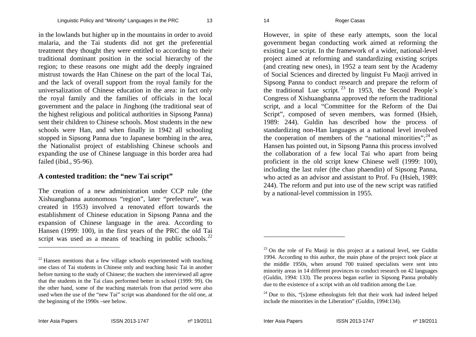in the lowlands but higher up in the mountains in order to avoid malaria, and the Tai students did not get the preferential treatment they thought they were entitled to according to their traditional dominant position in the social hierarchy of the region; to these reasons one might add the deeply ingrained mistrust towards the Han Chinese on the part of the local Tai, and the lack of overall support from the royal family for the universalization of Chinese education in the area: in fact only the royal family and the families of officials in the local government and the palace in Jinghong (the traditional seat of the highest religious and political authorities in Sipsong Panna) sent their children to Chinese schools. Most students in the new schools were Han, and when finally in 1942 all schooling stopped in Sipsong Panna due to Japanese bombing in the area, the Nationalist project of establishing Chinese schools and expanding the use of Chinese language in this border area had failed (ibid., 95-96).

#### **A contested tradition: the "new Tai script"**

The creation of a new administration under CCP rule (the Xishuangbanna autonomous "region", later "prefecture", was created in 1953) involved a renovated effort towards the establishment of Chinese education in Sipsong Panna and the expansion of Chinese language in the area. According to Hansen (1999: 100), in the first years of the PRC the old Tai script was used as a means of teaching in public schools.<sup>22</sup>

However, in spite of these early attempts, soon the local government began conducting work aimed at reforming the existing Lue script. In the framework of a wider, national-level project aimed at reforming and standardizing existing scripts (and creating new ones), in 1952 a team sent by the Academy of Social Sciences and directed by linguist Fu Maoji arrived in Sipsong Panna to conduct research and prepare the reform of the traditional Lue script.  $23 \text{ In } 1953$ , the Second People's Congress of Xishuangbanna approved the reform the traditional script, and a local "Committee for the Reform of the Dai Script", composed of seven members, was formed (Hsieh, 1989: 244). Guldin has described how the process of standardizing non-Han languages at a national level involved the cooperation of members of the "national minorities"; $^{24}$  as Hansen has pointed out, in Sipsong Panna this process involved the collaboration of a few local Tai who apart from being proficient in the old script knew Chinese well (1999: 100), including the last ruler (the chao phaendin) of Sipsong Panna, who acted as an advisor and assistant to Prof. Fu (Hsieh, 1989: 244). The reform and put into use of the new script was ratified by a national-level commission in 1955.

 $22$  Hansen mentions that a few village schools experimented with teaching one class of Tai students in Chinese only and teaching basic Tai in another before turning to the study of Chinese; the teachers she interviewed all agree that the students in the Tai class performed better in school (1999: 99). On the other hand, some of the teaching materials from that period were also used when the use of the "new Tai" script was abandoned for the old one, at the beginning of the 1990s –see below.

 $23$  On the role of Fu Maoji in this project at a national level, see Guldin 1994. According to this author, the main phase of the project took place at the middle 1950s, when around 700 trained specialists were sent into minority areas in 14 different provinces to conduct research on 42 languages (Guldin, 1994: 133). The process began earlier in Sipsong Panna probably due to the existence of a script with an old tradition among the Lue.

 $24$  Due to this, "[s]ome ethnologists felt that their work had indeed helped include the minorities in the Liberation" (Guldin, 1994:134).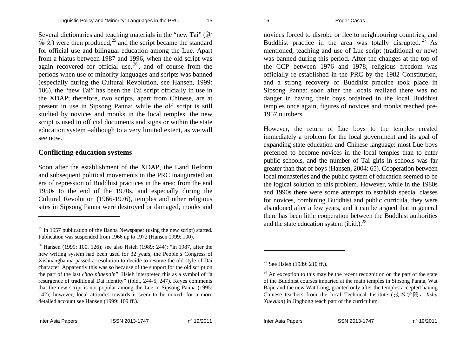Several dictionaries and teaching materials in the "new Tai" ( 新 傣文) were then produced,<sup>25</sup> and the script became the standard for official use and bilingual education among the Lue. Apart from a hiatus between 1987 and 1996, when the old script was again recovered for official use,  $26$ , and of course from the periods when use of minority languages and scripts was banned (especially during the Cultural Revolution, see Hansen, 1999: 106), the "new Tai" has been the Tai script officially in use in the XDAP; therefore, two scripts, apart from Chinese, are at present in use in Sipsong Panna: while the old script is still studied by novices and monks in the local temples, the new script is used in official documents and signs or within the state education system –although to a very limited extent, as we will see now.

#### **Conflicting education systems**

Soon after the establishment of the XDAP, the Land Reform and subsequent political movements in the PRC inaugurated an era of repression of Buddhist practices in the area: from the end 1950s to the end of the 1970s, and especially during the Cultural Revolution (1966-1976), temples and other religious sites in Sipsong Panna were destroyed or damaged, monks and novices forced to disrobe or flee to neighbouring countries, and Buddhist practice in the area was totally disrupted.  $27$  As mentioned, teaching and use of Lue script (traditional or new) was banned during this period. After the changes at the top of the CCP between 1976 and 1978, religious freedom was officially re-established in the PRC by the 1982 Constitution, and a strong recovery of Buddhist practice took place in Sipsong Panna: soon after the locals realized there was no danger in having their boys ordained in the local Buddhist temples once again, figures of novices and monks reached pre-1957 numbers.

However, the return of Lue boys to the temples created immediately a problem for the local government and its goal of expanding state education and Chinese language: most Lue boys preferred to become novices in the local temples than to enter public schools, and the number of Tai girls in schools was far greater than that of boys (Hansen, 2004: 65). Cooperation between local monasteries and the public system of education seemed to be the logical solution to this problem. However, while in the 1980s and 1990s there were some attempts to establish special classes for novices, combining Buddhist and public curricula, they were abandoned after a few years, and it can be argued that in general there has been little cooperation between the Buddhist authorities and the state education system (ibid.). $^{28}$ 

 $25$  In 1957 publication of the Banna Newspaper (using the new script) started. Publication was suspended from 1966 up to 1972 (Hansen 1999: 100).

<sup>&</sup>lt;sup>26</sup> Hansen (1999: 100, 126); see also Hsieh (1989: 244): "in 1987, after the new writing system had been used for 32 years, the People´s Congress of Xishuangbanna passed a resolution to decide to resume the old style of Dai character. Apparently this was so because of the support for the old script on the part of the last *chao phaendin*". Hsieh interpreted this as a symbol of "a resurgence of traditional Dai identity" (ibid., 244-5, 247). Keyes comments that the new script is not popular among the Lue in Sipsong Panna (1995: 142); however, local attitudes towards it seem to be mixed; for a more detailed account see Hansen (1999: 109 ff.).

<sup>&</sup>lt;sup>27</sup> See Hsieh (1989: 210 ff.).

 $28$  An exception to this may be the recent recognition on the part of the state of the Buddhist courses imparted at the main temples in Sipsong Panna, Wat Bajie and the new Wat Long, granted only after the temples accepted having Chinese teachers from the local Technical Institute (技术学院,*Jishu Xueyuan*) in Jinghong teach part of the curriculum.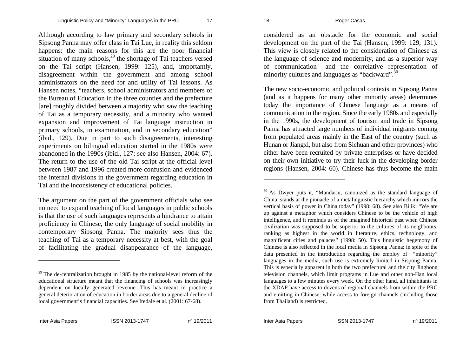Although according to law primary and secondary schools in Sipsong Panna may offer class in Tai Lue, in reality this seldom happens: the main reasons for this are the poor financial situation of many schools, $^{29}$  the shortage of Tai teachers versed on the Tai script (Hansen, 1999: 125), and, importantly, disagreement within the government and among school administrators on the need for and utility of Tai lessons. As Hansen notes, "teachers, school administrators and members of the Bureau of Education in the three counties and the prefecture [are] roughly divided between a majority who saw the teaching of Tai as a temporary necessity, and a minority who wanted expansion and improvement of Tai language instruction in primary schools, in examination, and in secondary education" (ibid., 129). Due in part to such disagreements, interesting experiments on bilingual education started in the 1980s were abandoned in the 1990s (ibid., 127; see also Hansen, 2004: 67). The return to the use of the old Tai script at the official level between 1987 and 1996 created more confusion and evidenced the internal divisions in the government regarding education in Tai and the inconsistency of educational policies.

The argument on the part of the government officials who see no need to expand teaching of local languages in public schools is that the use of such languages represents a hindrance to attain proficiency in Chinese, the only language of social mobility in contemporary Sipsong Panna. The majority sees thus the teaching of Tai as a temporary necessity at best, with the goal of facilitating the gradual disappearance of the language,

considered as an obstacle for the economic and social development on the part of the Tai (Hansen, 1999: 129, 131). This view is closely related to the consideration of Chinese as the language of science and modernity, and as a superior way of communication –and the correlative representation of minority cultures and languages as "backward".<sup>30</sup>

The new socio-economic and political contexts in Sipsong Panna (and as it happens for many other minority areas) determines today the importance of Chinese language as a means of communication in the region. Since the early 1980s and especially in the 1990s, the development of tourism and trade in Sipsong Panna has attracted large numbers of individual migrants coming from populated areas mainly in the East of the country (such as Hunan or Jiangxi, but also from Sichuan and other provinces) who either have been recruited by private enterprises or have decided on their own initiative to try their luck in the developing border regions (Hansen, 2004: 60). Chinese has thus become the main

 $29$  The de-centralization brought in 1985 by the national-level reform of the educational structure meant that the financing of schools was increasingly dependent on locally generated revenue. This has meant in practice a general deterioration of education in border areas due to a general decline of local government's financial capacities. See Iredale et al. (2001: 67-68).

<sup>&</sup>lt;sup>30</sup> As Dwyer puts it, "Mandarin, canonized as the standard language of China, stands at the pinnacle of a metalinguistic hierarchy which mirrors the vertical basis of power in China today" (1998: 68). See also Bilik: "We are up against a metaphor which considers Chinese to be the vehicle of high intelligence, and it reminds us of the imagined historical past when Chinese civilization was supposed to be superior to the cultures of its neighbours, ranking as highest in the world in literature, ethics, technology, and magnificent cities and palaces" (1998: 50). This linguistic hegemony of Chinese is also reflected in the local media in Sipsong Panna: in spite of the data presented in the introduction regarding the employ of "minority" languages in the media, such use is extremely limited in Sispong Panna. This is especially apparent in both the two prefectural and the city Jinghong television channels, which limit programs in Lue and other non-Han local languages to a few minutes every week. On the other hand, all inhabitants in the XDAP have access to dozens of regional channels from within the PRC and emitting in Chinese, while access to foreign channels (including those from Thailand) is restricted.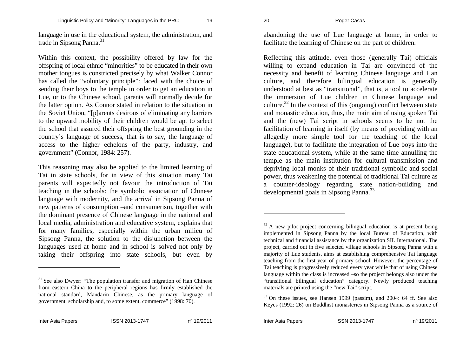language in use in the educational system, the administration, and trade in Sipsong Panna.<sup>31</sup>

Within this context, the possibility offered by law for the offspring of local ethnic "minorities" to be educated in their own mother tongues is constricted precisely by what Walker Connor has called the "voluntary principle": faced with the choice of sending their boys to the temple in order to get an education in Lue, or to the Chinese school, parents will normally decide for the latter option. As Connor stated in relation to the situation in the Soviet Union, "[p]arents desirous of eliminating any barriers to the upward mobility of their children would be apt to select the school that assured their offspring the best grounding in the country's language of success, that is to say, the language of access to the higher echelons of the party, industry, and governmen<sup>t</sup>" (Connor, 1984: 257).

This reasoning may also be applied to the limited learning of Tai in state schools, for in view of this situation many Tai parents will expectedly not favour the introduction of Tai teaching in the schools: the symbolic association of Chinese language with modernity, and the arrival in Sipsong Panna of new patterns of consumption –and consumerism, together with the dominant presence of Chinese language in the national and local media, administration and educative system, explains that for many families, especially within the urban milieu of Sipsong Panna, the solution to the disjunction between the languages used at home and in school is solved not only by taking their offspring into state schools, but even by

abandoning the use of Lue language at home, in order to facilitate the learning of Chinese on the part of children.

Reflecting this attitude, even those (generally Tai) officials willing to expand education in Tai are convinced of the necessity and benefit of learning Chinese language and Han culture, and therefore bilingual education is generally understood at best as "transitional", that is, a tool to accelerate the immersion of Lue children in Chinese language and culture.<sup>32</sup> In the context of this (ongoing) conflict between state and monastic education, thus, the main aim of using spoken Tai and the (new) Tai script in schools seems to be not the facilitation of learning in itself (by means of providing with an allegedly more simple tool for the teaching of the local language), but to facilitate the integration of Lue boys into the state educational system, while at the same time annulling the temple as the main institution for cultural transmission and depriving local monks of their traditional symbolic and social power, thus weakening the potential of traditional Tai culture as a counter-ideology regarding state nation-building and developmental goals in Sipsong Panna.<sup>33</sup>

<sup>&</sup>lt;sup>31</sup> See also Dwyer: "The population transfer and migration of Han Chinese" from eastern China to the peripheral regions has firmly established the national standard, Mandarin Chinese, as the primary language of government, scholarship and, to some extent, commerce" (1998: 70).

 $32$  A new pilot project concerning bilingual education is at present being implemented in Sipsong Panna by the local Bureau of Education, with technical and financial assistance by the organization SIL International. The project, carried out in five selected village schools in Sipsong Panna with a majority of Lue students, aims at establishing comprehensive Tai language teaching from the first year of primary school. However, the percentage of Tai teaching is progressively reduced every year while that of using Chinese language within the class is increased –so the project belongs also under the "transitional bilingual education" category. Newly produced teaching materials are printed using the "new Tai" script.

 $33$  On these issues, see Hansen 1999 (passim), and 2004: 64 ff. See also Keyes (1992: 26) on Buddhist monasteries in Sipsong Panna as a source of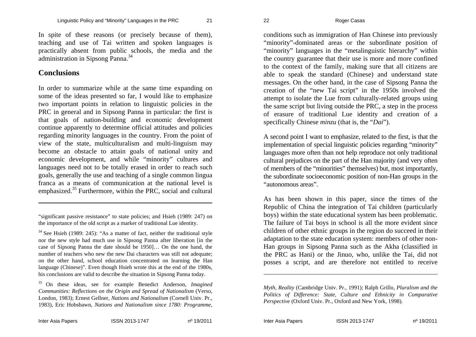In spite of these reasons (or precisely because of them), teaching and use of Tai written and spoken languages is practically absent from public schools, the media and the administration in Sipsong Panna.<sup>34</sup>

#### **Conclusions**

In order to summarize while at the same time expanding on some of the ideas presented so far, I would like to emphasize two important points in relation to linguistic policies in the PRC in general and in Sipsong Panna in particular: the first is that goals of nation-building and economic development continue apparently to determine official attitudes and policies regarding minority languages in the country. From the point of view of the state, multiculturalism and multi-linguism may become an obstacle to attain goals of national unity and economic development, and while "minority" cultures and languages need not to be totally erased in order to reach such goals, generally the use and teaching of a single common lingua franca as a means of communication at the national level is emphasized.<sup>35</sup> Furthermore, within the PRC, social and cultural

"significant passive resistance" to state policies; and Hsieh (1989: 247) on the importance of the old script as a marker of traditional Lue identity.

 $34$  See Hsieh (1989: 245): "As a matter of fact, neither the traditional style nor the new style had much use in Sipsong Panna after liberation [in the case of Sipsong Panna the date should be 1950]… On the one hand, the number of teachers who new the new Dai characters was still not adequate; on the other hand, school education concentrated on learning the Han language (Chinese)". Even though Hsieh wrote this at the end of the 1980s, his conclusions are valid to describe the situation in Sipsong Panna today.

conditions such as immigration of Han Chinese into previously "minority"-dominated areas or the subordinate position of "minority" languages in the "metalinguistic hierarchy" within the country guarantee that their use is more and more confined to the context of the family, making sure that all citizens are able to speak the standard (Chinese) and understand state messages. On the other hand, in the case of Sipsong Panna the creation of the "new Tai script" in the 1950s involved the attempt to isolate the Lue from culturally-related groups using the same script but living outside the PRC, a step in the process of erasure of traditional Lue identity and creation of a specifically Chinese *minzu* (that is, the "*Dai*").

A second point I want to emphasize, related to the first, is that the implementation of special linguistic policies regarding "minority" languages more often than not help reproduce not only traditional cultural prejudices on the part of the Han majority (and very often of members of the "minorities" themselves) but, most importantly, the subordinate socioeconomic position of non-Han groups in the "autonomous areas".

As has been shown in this paper, since the times of the Republic of China the integration of Tai children (particularly boys) within the state educational system has been problematic. The failure of Tai boys in school is all the more evident since children of other ethnic groups in the region do succeed in their adaptation to the state education system: members of other non-Han groups in Sipsong Panna such as the Akha (classified in the PRC as Hani) or the Jinuo, who, unlike the Tai, did not posses a script, and are therefore not entitled to receive

<sup>35</sup> On these ideas, see for example Benedict Anderson, *Imagined Communities: Reflections on the Origin and Spread of Nationalism* (Verso, London, 1983); Ernest Gellner, *Nations and Nationalism* (Cornell Univ. Pr., 1983), Eric Hobsbawn, *Nations and Nationalism since 1780: Programme,* 

*Myth, Reality* (Cambridge Univ. Pr., 1991); Ralph Grillo, *Pluralism and the Politics of Difference: State, Culture and Ethnicity in Comparative Perspective* (Oxford Univ. Pr., Oxford and New York, 1998).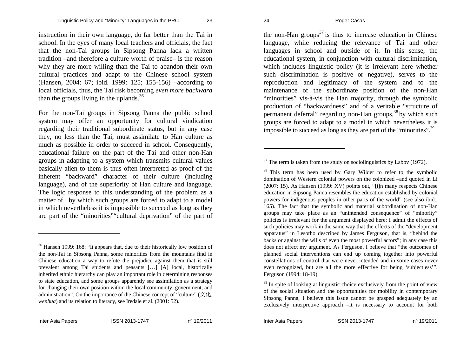instruction in their own language, do far better than the Tai in school. In the eyes of many local teachers and officials, the fact that the non-Tai groups in Sipsong Panna lack a written tradition –and therefore a culture worth of praise– is the reason why they are more willing than the Tai to abandon their own cultural practices and adapt to the Chinese school system (Hansen, 2004: 67; ibid. 1999: 125; 155-156) –according to local officials, thus, the Tai risk becoming *even more backward*  than the groups living in the uplands.  $36$ 

For the non-Tai groups in Sipsong Panna the public school system may offer an opportunity for cultural vindication regarding their traditional subordinate status, but in any case they, no less than the Tai, must assimilate to Han culture as much as possible in order to succeed in school. Consequently, educational failure on the part of the Tai and other non-Han groups in adapting to a system which transmits cultural values basically alien to them is thus often interpreted as proof of the inherent "backward" character of their culture (including language), and of the superiority of Han culture and language. The logic response to this understanding of the problem as a matter of, by which such groups are forced to adapt to a model in which nevertheless it is impossible to succeed as long as they are part of the "minorities""cultural deprivation" of the part of the non-Han groups<sup>37</sup> is thus to increase education in Chinese language, while reducing the relevance of Tai and other languages in school and outside of it. In this sense, the educational system, in conjunction with cultural discrimination, which includes linguistic policy (it is irrelevant here whether such discrimination is positive or negative), serves to the reproduction and legitimacy of the system and to the maintenance of the subordinate position of the non-Han "minorities" vis-à-vis the Han majority, through the symbolic production of "backwardness" and of a veritable "structure of permanent deferral" regarding non-Han groups,<sup>38</sup> by which such groups are forced to adapt to a model in which nevertheless it is impossible to succeed as long as they are part of the "minorities".<sup>39</sup>

<sup>38</sup> This term has been used by Gary Wilder to refer to the symbolic domination of Western colonial powers on the colonized –and quoted in Li (2007: 15). As Hansen (1999: XV) points out, "[i]n many respects Chinese education in Sipsong Panna resembles the education established by colonial powers for indigenous peoples in other parts of the world" (see also ibid., 165). The fact that the symbolic and material subordination of non-Han groups may take place as an "unintended consequence" of "minority" policies is irrelevant for the argument displayed here: I admit the effects of such policies may work in the same way that the effects of the "development apparatus" in Lesotho described by James Ferguson, that is, "behind the backs or against the wills of even the most powerful actors"; in any case this does not affect my argument. As Ferguson, I believe that "the outcomes of planned social interventions can end up coming together into powerful constellations of control that were never intended and in some cases never even recognized, but are all the more effective for being 'subjectless'". Ferguson (1994: 18-19).

<sup>&</sup>lt;sup>36</sup> Hansen 1999: 168: "It appears that, due to their historically low position of the non-Tai in Sipsong Panna, some minorities from the mountains find in Chinese education a way to refute the prejudice against them that is still prevalent among Tai students and peasants […] [A] local, historically inherited ethnic hierarchy can play an important role in determining responses to state education, and some groups apparently see assimilation as a strategy for changing their own position within the local community, government, and administration". On the importance of the Chinese concept of "culture" ( $\dot{\chi}$  / $\dot{\chi}$ , *wenhua*) and its relation to literacy, see Iredale et al. (2001: 52).

 $37$  The term is taken from the study on sociolinguistics by Labov (1972).

 $39$  In spite of looking at linguistic choice exclusively from the point of view of the social situation and the opportunities for mobility in contemporary Sipsong Panna, I believe this issue cannot be grasped adequately by an exclusively interpretive approach –it is necessary to account for both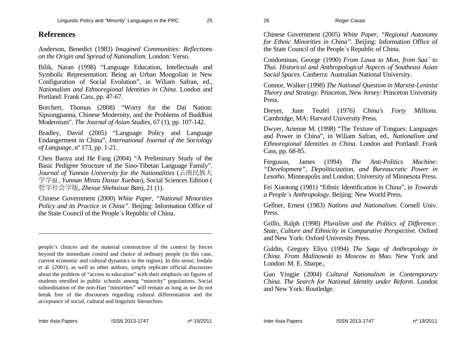#### **References**

Anderson, Benedict (1983) *Imagined Communities: Reflections on the Origin and Spread of Nationalism*. London: Verso.

Bilik, Naran (1998) "Language Education, Intellectuals and Symbolic Representation: Being an Urban Mongolian in New Configuration of Social Evolution", in Wiliam Safran, ed., *Nationalism and Ethnoregional Identities in China*. London and Portland: Frank Cass, pp. 47-67.

Borchert, Thomas (2008) "Worry for the Dai Nation: Sipsongpanna, Chinese Modernity, and the Problems of Buddhist Modernism". *The Journal of Asian Studies*, 67 (1), pp. 107-142.

Bradley, David (2005) "Language Policy and Language Endangerment in China", *International Journal of the Sociology of Language*, nº 173, pp. 1-21.

Chen Baoya and He Fang (2004) "A Preliminary Study of the Basic Pedigree Structure of the Sino-Tibetan Language Family". *Journal of Yunnan University for the Nationalities* (云南民族大 学学 报, *Yunnan Minzu Daxue Xuebao*), Social Sciences Edition ( 哲学社会学版, *Zhexue Shehuixue Ban*), 21 (1).

Chinese Government (2000) *White Paper, "National Minorities Policy and its Practice in China"*. Beijing: Information Office of the State Council of the People´s Republic of China.

people's choices and the material construction of the context by forces beyond the immediate control and choice of ordinary people (in this case, current economic and cultural dynamics in the region). In this sense, Iredale et al. (2001), as well as other authors, simply replicate official discourses about the problem of "access to education" with their emphasis on figures of students enrolled in public schools among "minority" populations. Social subordination of the non-Han "minorities" will remain as long as we do not break free of the discourses regarding cultural differentiation and the acceptance of social, cultural and linguistic hierarchies.

Chinese Government (2005) *White Paper, "Regional Autonomy for Ethnic Minorities in China".* Beijing: Information Office of the State Council of the People´s Republic of China.

Condominas, George (1990) *From Lawa to Mon, from Saa´ to Thai. Historical and Anthropological Aspects of Southeast Asian Social Spaces*. Canberra: Australian National University.

Connor, Walker (1998) *The National Question in Marxist-Leninist Theory and Strategy*. Princeton, New Jersey: Princeton University Press.

Dreyer, June Teufel (1976) *China's Forty Millions*. Cambridge, MA: Harvard University Press.

Dwyer, Arienne M. (1998) "The Texture of Tongues: Languages and Power in China", in Wiliam Safran, ed., *Nationalism and Ethnoregional Identities in China*. London and Portland: Frank Cass, pp. 68-85.

Ferguson, James (1994) *The Anti-Politics Machine: "Development", Depoliticization, and Bureaucratic Power in Lesotho*. Minneapolis and London: University of Minnesota Press.

Fei Xiaotong (1981) "Ethnic Identification in China", in *Towards a People´s Anthropology*. Beijing: New World Press.

Gellner, Ernest (1983) *Nations and Nationalism.* Cornell Univ. Press.

Grillo, Ralph (1998) *Pluralism and the Politics of Difference: State, Culture and Ethnicity in Comparative Perspective*. Oxford and New York: Oxford University Press.

Guldin, Gregory Eliyu (1994) *The Saga of Anthropology in China. From Malinowski to Moscow to Mao*. New York and London: M. E. Sharpe,.

Guo Yingjie (2004) *Cultural Nationalism in Contemporary China. The Search for National Identity under Reform*. London and New York: Routledge.